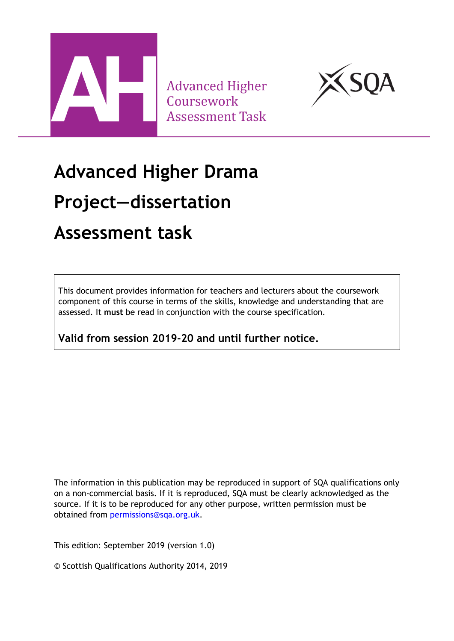

**Advanced Higher** Coursework **Assessment Task** 



# **Advanced Higher Drama Project—dissertation Assessment task**

This document provides information for teachers and lecturers about the coursework component of this course in terms of the skills, knowledge and understanding that are assessed. It **must** be read in conjunction with the course specification.

**Valid from session 2019-20 and until further notice.** 

The information in this publication may be reproduced in support of SQA qualifications only on a non-commercial basis. If it is reproduced, SQA must be clearly acknowledged as the source. If it is to be reproduced for any other purpose, written permission must be obtained from [permissions@sqa.org.uk.](mailto:permissions@sqa.org.uk)

This edition: September 2019 (version 1.0)

© Scottish Qualifications Authority 2014, 2019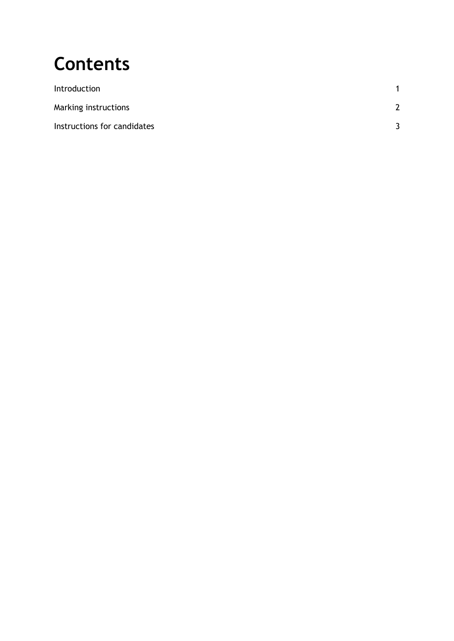### **Contents**

| Introduction                |               |
|-----------------------------|---------------|
| Marking instructions        | $\mathcal{P}$ |
| Instructions for candidates |               |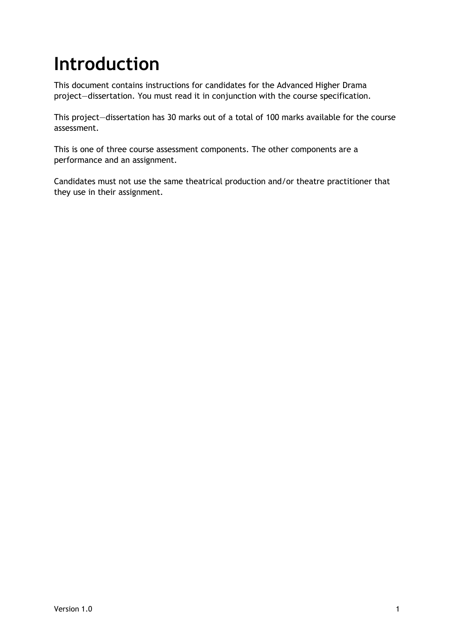### <span id="page-2-0"></span>**Introduction**

This document contains instructions for candidates for the Advanced Higher Drama project—dissertation. You must read it in conjunction with the course specification.

This project—dissertation has 30 marks out of a total of 100 marks available for the course assessment.

This is one of three course assessment components. The other components are a performance and an assignment.

Candidates must not use the same theatrical production and/or theatre practitioner that they use in their assignment.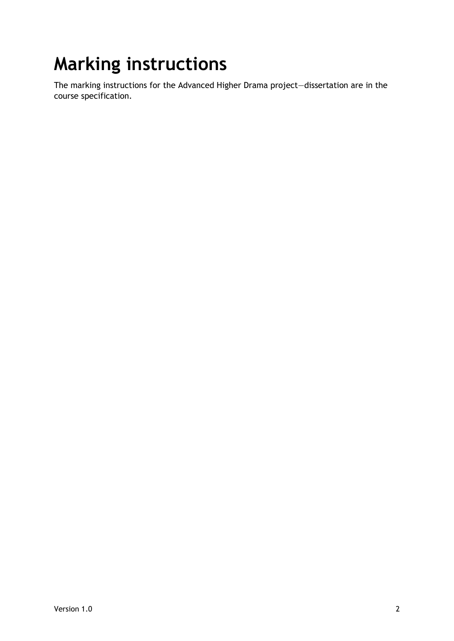## <span id="page-3-0"></span>**Marking instructions**

The marking instructions for the Advanced Higher Drama project—dissertation are in the course specification.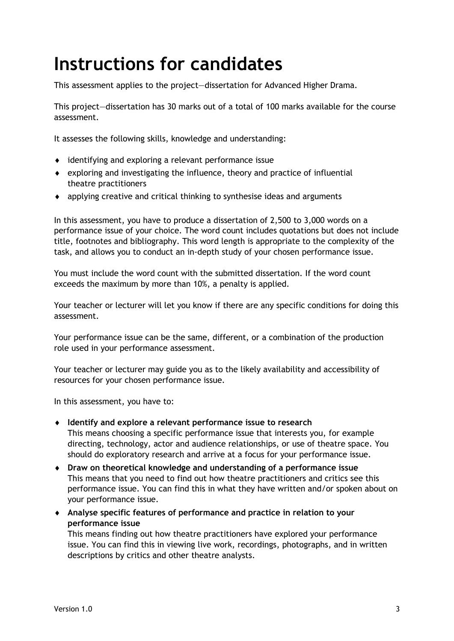### <span id="page-4-0"></span>**Instructions for candidates**

This assessment applies to the project—dissertation for Advanced Higher Drama.

This project—dissertation has 30 marks out of a total of 100 marks available for the course assessment.

It assesses the following skills, knowledge and understanding:

- identifying and exploring a relevant performance issue
- exploring and investigating the influence, theory and practice of influential theatre practitioners
- applying creative and critical thinking to synthesise ideas and arguments

In this assessment, you have to produce a dissertation of 2,500 to 3,000 words on a performance issue of your choice. The word count includes quotations but does not include title, footnotes and bibliography. This word length is appropriate to the complexity of the task, and allows you to conduct an in-depth study of your chosen performance issue.

You must include the word count with the submitted dissertation. If the word count exceeds the maximum by more than 10%, a penalty is applied.

Your teacher or lecturer will let you know if there are any specific conditions for doing this assessment.

Your performance issue can be the same, different, or a combination of the production role used in your performance assessment.

Your teacher or lecturer may guide you as to the likely availability and accessibility of resources for your chosen performance issue.

In this assessment, you have to:

- **Identify and explore a relevant performance issue to research** This means choosing a specific performance issue that interests you, for example directing, technology, actor and audience relationships, or use of theatre space. You should do exploratory research and arrive at a focus for your performance issue.
- **Draw on theoretical knowledge and understanding of a performance issue** This means that you need to find out how theatre practitioners and critics see this performance issue. You can find this in what they have written and/or spoken about on your performance issue.
- **Analyse specific features of performance and practice in relation to your performance issue**

This means finding out how theatre practitioners have explored your performance issue. You can find this in viewing live work, recordings, photographs, and in written descriptions by critics and other theatre analysts.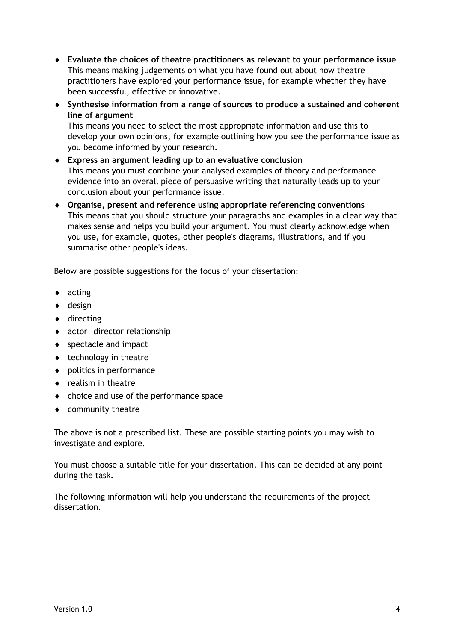- **Evaluate the choices of theatre practitioners as relevant to your performance issue** This means making judgements on what you have found out about how theatre practitioners have explored your performance issue, for example whether they have been successful, effective or innovative.
- **Synthesise information from a range of sources to produce a sustained and coherent line of argument**

This means you need to select the most appropriate information and use this to develop your own opinions, for example outlining how you see the performance issue as you become informed by your research.

- **Express an argument leading up to an evaluative conclusion** This means you must combine your analysed examples of theory and performance evidence into an overall piece of persuasive writing that naturally leads up to your conclusion about your performance issue.
- **Organise, present and reference using appropriate referencing conventions** This means that you should structure your paragraphs and examples in a clear way that makes sense and helps you build your argument. You must clearly acknowledge when you use, for example, quotes, other people's diagrams, illustrations, and if you summarise other people's ideas.

Below are possible suggestions for the focus of your dissertation:

- acting
- design
- ◆ directing
- actor—director relationship
- ◆ spectacle and impact
- $\bullet$  technology in theatre
- politics in performance
- $\bullet$  realism in theatre
- choice and use of the performance space
- community theatre

The above is not a prescribed list. These are possible starting points you may wish to investigate and explore.

You must choose a suitable title for your dissertation. This can be decided at any point during the task.

The following information will help you understand the requirements of the project dissertation.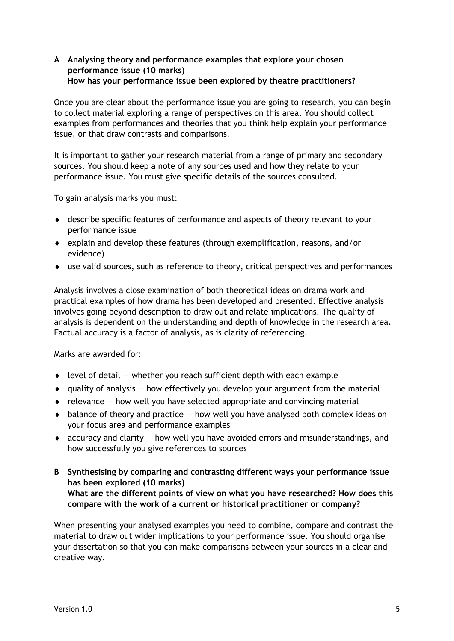#### **A Analysing theory and performance examples that explore your chosen performance issue (10 marks) How has your performance issue been explored by theatre practitioners?**

Once you are clear about the performance issue you are going to research, you can begin to collect material exploring a range of perspectives on this area. You should collect examples from performances and theories that you think help explain your performance issue, or that draw contrasts and comparisons.

It is important to gather your research material from a range of primary and secondary sources. You should keep a note of any sources used and how they relate to your performance issue. You must give specific details of the sources consulted.

To gain analysis marks you must:

- describe specific features of performance and aspects of theory relevant to your performance issue
- explain and develop these features (through exemplification, reasons, and/or evidence)
- use valid sources, such as reference to theory, critical perspectives and performances

Analysis involves a close examination of both theoretical ideas on drama work and practical examples of how drama has been developed and presented. Effective analysis involves going beyond description to draw out and relate implications. The quality of analysis is dependent on the understanding and depth of knowledge in the research area. Factual accuracy is a factor of analysis, as is clarity of referencing.

Marks are awarded for:

- $\bullet$  level of detail  $-$  whether you reach sufficient depth with each example
- $\bullet$  quality of analysis  $-$  how effectively you develop your argument from the material
- $\bullet$  relevance how well you have selected appropriate and convincing material
- $\bullet$  balance of theory and practice  $-$  how well you have analysed both complex ideas on your focus area and performance examples
- $\bullet$  accuracy and clarity  $-$  how well you have avoided errors and misunderstandings, and how successfully you give references to sources
- **B Synthesising by comparing and contrasting different ways your performance issue has been explored (10 marks) What are the different points of view on what you have researched? How does this compare with the work of a current or historical practitioner or company?**

When presenting your analysed examples you need to combine, compare and contrast the material to draw out wider implications to your performance issue. You should organise your dissertation so that you can make comparisons between your sources in a clear and creative way.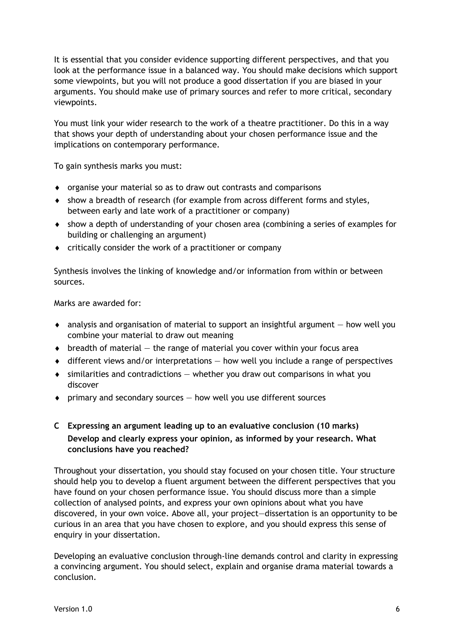It is essential that you consider evidence supporting different perspectives, and that you look at the performance issue in a balanced way. You should make decisions which support some viewpoints, but you will not produce a good dissertation if you are biased in your arguments. You should make use of primary sources and refer to more critical, secondary viewpoints.

You must link your wider research to the work of a theatre practitioner. Do this in a way that shows your depth of understanding about your chosen performance issue and the implications on contemporary performance.

To gain synthesis marks you must:

- organise your material so as to draw out contrasts and comparisons
- show a breadth of research (for example from across different forms and styles, between early and late work of a practitioner or company)
- show a depth of understanding of your chosen area (combining a series of examples for building or challenging an argument)
- $\bullet$  critically consider the work of a practitioner or company

Synthesis involves the linking of knowledge and/or information from within or between sources.

Marks are awarded for:

- $\bullet$  analysis and organisation of material to support an insightful argument  $-$  how well you combine your material to draw out meaning
- $\bullet$  breadth of material  $-$  the range of material you cover within your focus area
- $\bullet$  different views and/or interpretations  $-$  how well you include a range of perspectives
- $\bullet$  similarities and contradictions  $-$  whether you draw out comparisons in what you discover
- $\bullet$  primary and secondary sources  $-$  how well you use different sources

#### **C Expressing an argument leading up to an evaluative conclusion (10 marks) Develop and clearly express your opinion, as informed by your research. What conclusions have you reached?**

Throughout your dissertation, you should stay focused on your chosen title. Your structure should help you to develop a fluent argument between the different perspectives that you have found on your chosen performance issue. You should discuss more than a simple collection of analysed points, and express your own opinions about what you have discovered, in your own voice. Above all, your project—dissertation is an opportunity to be curious in an area that you have chosen to explore, and you should express this sense of enquiry in your dissertation.

Developing an evaluative conclusion through-line demands control and clarity in expressing a convincing argument. You should select, explain and organise drama material towards a conclusion.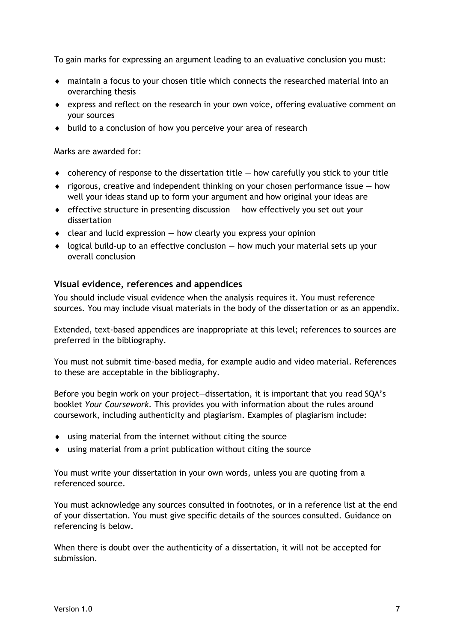To gain marks for expressing an argument leading to an evaluative conclusion you must:

- maintain a focus to your chosen title which connects the researched material into an overarching thesis
- express and reflect on the research in your own voice, offering evaluative comment on your sources
- $\bullet$  build to a conclusion of how you perceive your area of research

Marks are awarded for:

- $\bullet$  coherency of response to the dissertation title  $-$  how carefully you stick to your title
- $\bullet$  rigorous, creative and independent thinking on your chosen performance issue  $-$  how well your ideas stand up to form your argument and how original your ideas are
- effective structure in presenting discussion how effectively you set out your dissertation
- $\bullet$  clear and lucid expression  $-$  how clearly you express your opinion
- $\bullet$  logical build-up to an effective conclusion  $-$  how much your material sets up your overall conclusion

#### **Visual evidence, references and appendices**

You should include visual evidence when the analysis requires it. You must reference sources. You may include visual materials in the body of the dissertation or as an appendix.

Extended, text-based appendices are inappropriate at this level; references to sources are preferred in the bibliography.

You must not submit time-based media, for example audio and video material. References to these are acceptable in the bibliography.

Before you begin work on your project—dissertation, it is important that you read SQA's booklet *Your Coursework.* This provides you with information about the rules around coursework, including authenticity and plagiarism. Examples of plagiarism include:

- using material from the internet without citing the source
- using material from a print publication without citing the source

You must write your dissertation in your own words, unless you are quoting from a referenced source.

You must acknowledge any sources consulted in footnotes, or in a reference list at the end of your dissertation. You must give specific details of the sources consulted. Guidance on referencing is below.

When there is doubt over the authenticity of a dissertation, it will not be accepted for submission.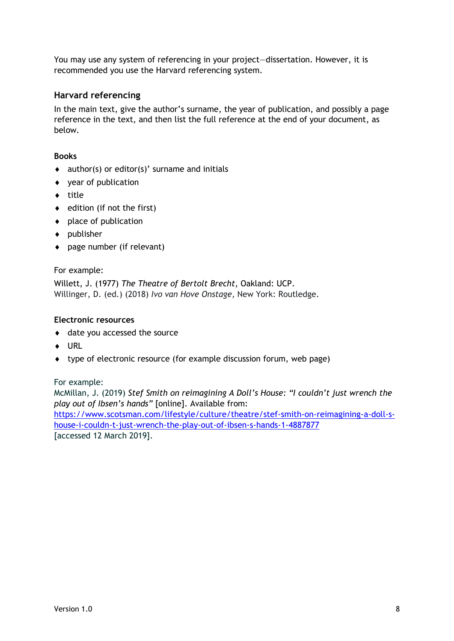You may use any system of referencing in your project—dissertation. However, it is recommended you use the Harvard referencing system.

#### **Harvard referencing**

In the main text, give the author's surname, the year of publication, and possibly a page reference in the text, and then list the full reference at the end of your document, as below.

#### **Books**

- $\bullet$  author(s) or editor(s)' surname and initials
- $\bullet$  vear of publication
- $\bullet$  title
- $\bullet$  edition (if not the first)
- $\bullet$  place of publication
- publisher
- page number (if relevant)

#### For example:

Willett, J. (1977) *The Theatre of Bertolt Brecht*, Oakland: UCP. Willinger, D. (ed.) (2018) *Ivo van Hove Onstage*, New York: Routledge.

#### **Electronic resources**

- date you accessed the source
- ◆ URL
- type of electronic resource (for example discussion forum, web page)

For example:

McMillan, J. (2019) *Stef Smith on reimagining A Doll's House: "I couldn't just wrench the play out of Ibsen's hands"* [online]. Available from:

[https://www.scotsman.com/lifestyle/culture/theatre/stef-smith-on-reimagining-a-doll-s](https://www.scotsman.com/lifestyle/culture/theatre/stef-smith-on-reimagining-a-doll-s-house-i-couldn-t-just-wrench-the-play-out-of-ibsen-s-hands-1-4887877)[house-i-couldn-t-just-wrench-the-play-out-of-ibsen-s-hands-1-4887877](https://www.scotsman.com/lifestyle/culture/theatre/stef-smith-on-reimagining-a-doll-s-house-i-couldn-t-just-wrench-the-play-out-of-ibsen-s-hands-1-4887877) [accessed 12 March 2019].